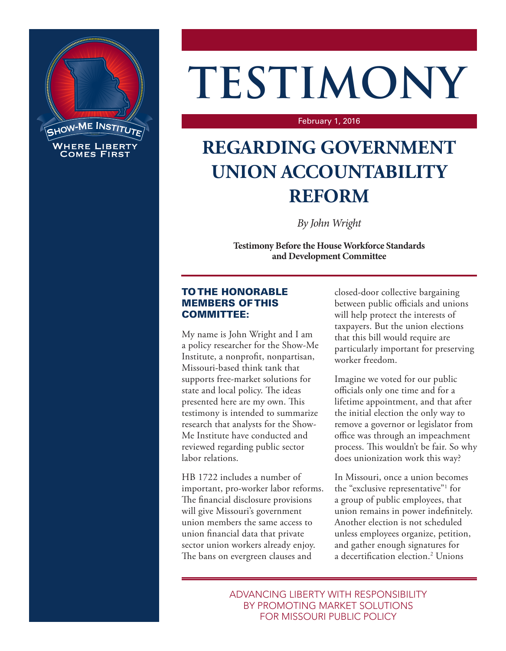

# **TESTIMONY**

#### February 1, 2016

# **REGARDING GOVERNMENT UNION ACCOUNTABILITY REFORM**

*By John Wright*

**Testimony Before the House Workforce Standards and Development Committee**

### TO THE HONORABLE MEMBERS OF THIS COMMITTEE:

My name is John Wright and I am a policy researcher for the Show-Me Institute, a nonprofit, nonpartisan, Missouri-based think tank that supports free-market solutions for state and local policy. The ideas presented here are my own. This testimony is intended to summarize research that analysts for the Show-Me Institute have conducted and reviewed regarding public sector labor relations.

HB 1722 includes a number of important, pro-worker labor reforms. The financial disclosure provisions will give Missouri's government union members the same access to union financial data that private sector union workers already enjoy. The bans on evergreen clauses and

closed-door collective bargaining between public officials and unions will help protect the interests of taxpayers. But the union elections that this bill would require are particularly important for preserving worker freedom.

Imagine we voted for our public officials only one time and for a lifetime appointment, and that after the initial election the only way to remove a governor or legislator from office was through an impeachment process. This wouldn't be fair. So why does unionization work this way?

In Missouri, once a union becomes the "exclusive representative"1 for a group of public employees, that union remains in power indefinitely. Another election is not scheduled unless employees organize, petition, and gather enough signatures for a decertification election.2 Unions

ADVANCING LIBERTY WITH RESPONSIBILITY BY PROMOTING MARKET SOLUTIONS FOR MISSOURI PUBLIC POLICY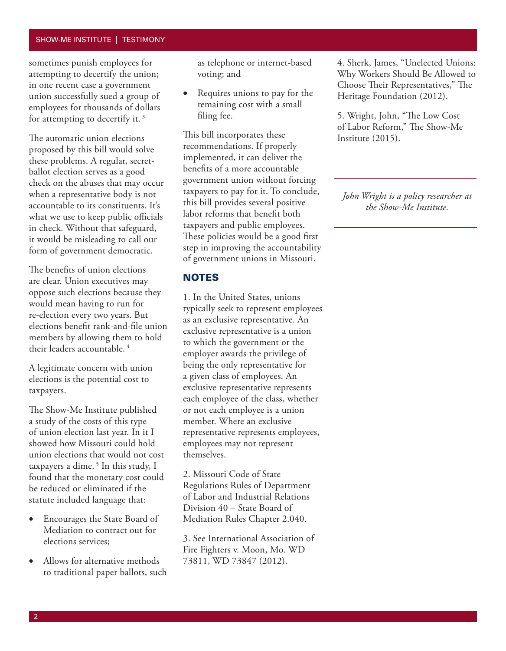#### SHOW-ME INSTITUTE | TESTIMONY

sometimes punish employees for attempting to decertify the union; in one recent case a government union successfully sued a group of employees for thousands of dollars for attempting to decertify it. 3

The automatic union elections proposed by this bill would solve these problems. A regular, secretballot election serves as a good check on the abuses that may occur when a representative body is not accountable to its constituents. It's what we use to keep public officials in check. Without that safeguard, it would be misleading to call our form of government democratic.

The benefits of union elections are clear. Union executives may oppose such elections because they would mean having to run for re-election every two years. But elections benefit rank-and-file union members by allowing them to hold their leaders accountable. 4

A legitimate concern with union elections is the potential cost to taxpayers.

The Show-Me Institute published a study of the costs of this type of union election last year. In it I showed how Missouri could hold union elections that would not cost taxpayers a dime.<sup>5</sup> In this study, I found that the monetary cost could be reduced or eliminated if the statute included language that:

- Encourages the State Board of Mediation to contract out for elections services;
- Allows for alternative methods to traditional paper ballots, such

as telephone or internet-based voting; and

• Requires unions to pay for the remaining cost with a small filing fee.

This bill incorporates these recommendations. If properly implemented, it can deliver the benefits of a more accountable government union without forcing taxpayers to pay for it. To conclude, this bill provides several positive labor reforms that benefit both taxpayers and public employees. These policies would be a good first step in improving the accountability of government unions in Missouri.

#### **NOTES**

1. In the United States, unions typically seek to represent employees as an exclusive representative. An exclusive representative is a union to which the government or the employer awards the privilege of being the only representative for a given class of employees. An exclusive representative represents each employee of the class, whether or not each employee is a union member. Where an exclusive representative represents employees, employees may not represent themselves.

2. Missouri Code of State Regulations Rules of Department of Labor and Industrial Relations Division 40 – State Board of Mediation Rules Chapter 2.040.

3. See International Association of Fire Fighters v. Moon, Mo. WD 73811, WD 73847 (2012).

4. Sherk, James, "Unelected Unions: Why Workers Should Be Allowed to Choose Their Representatives," The Heritage Foundation (2012).

5. Wright, John, "The Low Cost of Labor Reform," The Show-Me Institute (2015).

*John Wright is a policy researcher at the Show-Me Institute.*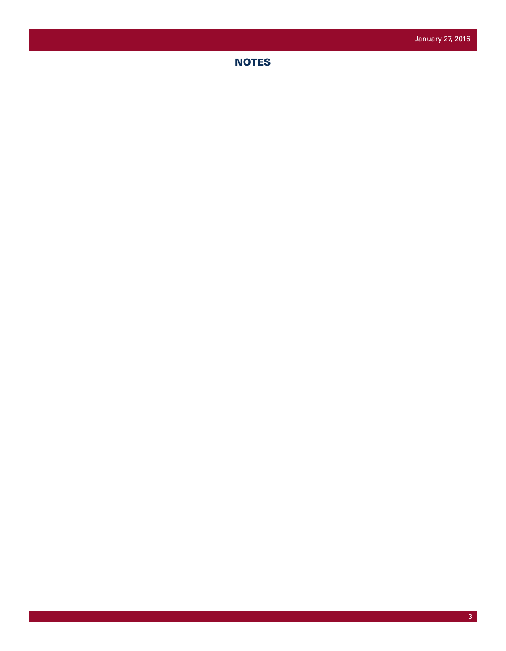**NOTES**